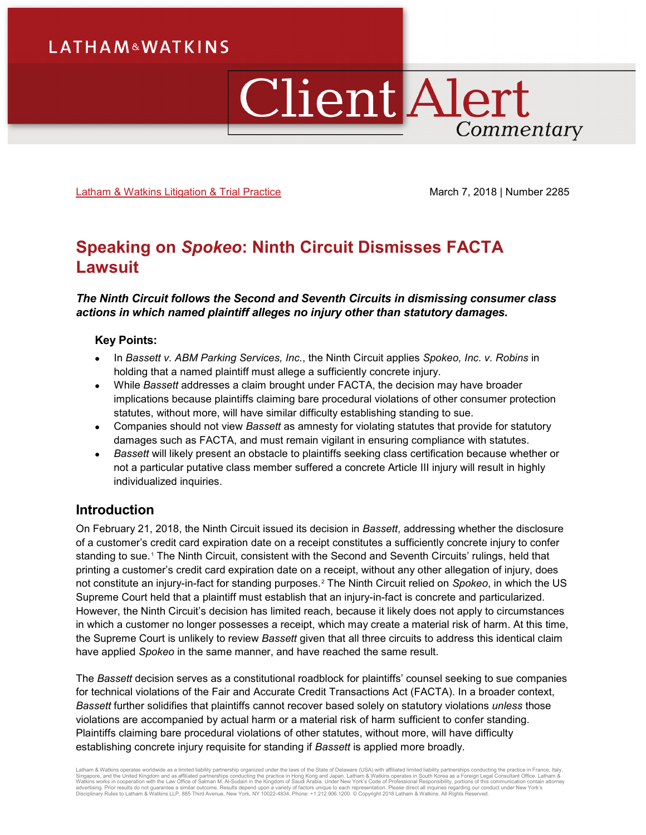# Client Alert Commentary

[Latham & Watkins Litigation & Trial Practice](https://www.lw.com/practices/LitigationandTrialPractice) March 7, 2018 | Number 2285

## **Speaking on** *Spokeo***: Ninth Circuit Dismisses FACTA Lawsuit**

### *The Ninth Circuit follows the Second and Seventh Circuits in dismissing consumer class actions in which named plaintiff alleges no injury other than statutory damages.*

#### **Key Points:**

- In *Bassett v. ABM Parking Services, Inc.*, the Ninth Circuit applies *Spokeo, Inc. v. Robins* in holding that a named plaintiff must allege a sufficiently concrete injury.
- While *Bassett* addresses a claim brought under FACTA, the decision may have broader implications because plaintiffs claiming bare procedural violations of other consumer protection statutes, without more, will have similar difficulty establishing standing to sue.
- Companies should not view *Bassett* as amnesty for violating statutes that provide for statutory damages such as FACTA, and must remain vigilant in ensuring compliance with statutes.
- *Bassett* will likely present an obstacle to plaintiffs seeking class certification because whether or not a particular putative class member suffered a concrete Article III injury will result in highly individualized inquiries.

## **Introduction**

On February 21, 2018, the Ninth Circuit issued its decision in *Bassett*, addressing whether the disclosure of a customer's credit card expiration date on a receipt constitutes a sufficiently concrete injury to confer standing to sue.<sup>[1](#page-4-0)</sup> The Ninth Circuit, consistent with the Second and Seventh Circuits' rulings, held that printing a customer's credit card expiration date on a receipt, without any other allegation of injury, does not constitute an injury-in-fact for standing purposes.[2](#page-4-1) The Ninth Circuit relied on *Spokeo*, in which the US Supreme Court held that a plaintiff must establish that an injury-in-fact is concrete and particularized. However, the Ninth Circuit's decision has limited reach, because it likely does not apply to circumstances in which a customer no longer possesses a receipt, which may create a material risk of harm. At this time, the Supreme Court is unlikely to review *Bassett* given that all three circuits to address this identical claim have applied *Spokeo* in the same manner, and have reached the same result.

The *Bassett* decision serves as a constitutional roadblock for plaintiffs' counsel seeking to sue companies for technical violations of the Fair and Accurate Credit Transactions Act (FACTA). In a broader context, *Bassett* further solidifies that plaintiffs cannot recover based solely on statutory violations *unless* those violations are accompanied by actual harm or a material risk of harm sufficient to confer standing. Plaintiffs claiming bare procedural violations of other statutes, without more, will have difficulty establishing concrete injury requisite for standing if *Bassett* is applied more broadly.

Latham & Watkins operates worldwide as a limited liability partnership organized under the laws of the State of Delaware (USA) with affiliated limited liability partnerships conducting the practice in France, Italy,<br>Singap Disciplinary Rules to Latham & Watkins LLP, 885 Third Avenue, New York, NY 10022-4834, Phone: +1.212.906.1200. © Copyright 2018 Latham & Watkins. All Rights Reserved.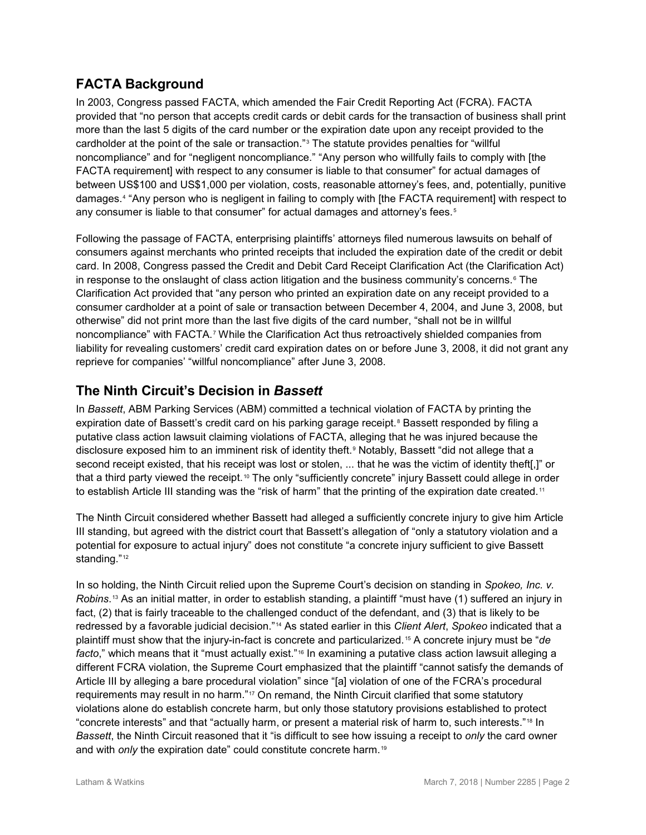## **FACTA Background**

In 2003, Congress passed FACTA, which amended the Fair Credit Reporting Act (FCRA). FACTA provided that "no person that accepts credit cards or debit cards for the transaction of business shall print more than the last 5 digits of the card number or the expiration date upon any receipt provided to the cardholder at the point of the sale or transaction."[3](#page-4-2) The statute provides penalties for "willful noncompliance" and for "negligent noncompliance." "Any person who willfully fails to comply with [the FACTA requirement] with respect to any consumer is liable to that consumer" for actual damages of between US\$100 and US\$1,000 per violation, costs, reasonable attorney's fees, and, potentially, punitive damages.[4](#page-4-3) "Any person who is negligent in failing to comply with [the FACTA requirement] with respect to any consumer is liable to that consumer" for actual damages and attorney's fees.<sup>[5](#page-4-4)</sup>

Following the passage of FACTA, enterprising plaintiffs' attorneys filed numerous lawsuits on behalf of consumers against merchants who printed receipts that included the expiration date of the credit or debit card. In 2008, Congress passed the Credit and Debit Card Receipt Clarification Act (the Clarification Act) in response to the onslaught of class action litigation and the business community's concerns.<sup>[6](#page-4-5)</sup> The Clarification Act provided that "any person who printed an expiration date on any receipt provided to a consumer cardholder at a point of sale or transaction between December 4, 2004, and June 3, 2008, but otherwise" did not print more than the last five digits of the card number, "shall not be in willful noncompliance" with FACTA.[7](#page-4-6) While the Clarification Act thus retroactively shielded companies from liability for revealing customers' credit card expiration dates on or before June 3, 2008, it did not grant any reprieve for companies' "willful noncompliance" after June 3, 2008.

## **The Ninth Circuit's Decision in** *Bassett*

In *Bassett*, ABM Parking Services (ABM) committed a technical violation of FACTA by printing the expiration date of Bassett's credit card on his parking garage receipt.<sup>[8](#page-4-7)</sup> Bassett responded by filing a putative class action lawsuit claiming violations of FACTA, alleging that he was injured because the disclosure exposed him to an imminent risk of identity theft.[9](#page-4-8) Notably, Bassett "did not allege that a second receipt existed, that his receipt was lost or stolen, ... that he was the victim of identity theft[,]" or that a third party viewed the receipt.<sup>[10](#page-4-9)</sup> The only "sufficiently concrete" injury Bassett could allege in order to establish Article III standing was the "risk of harm" that the printing of the expiration date created.<sup>[11](#page-4-10)</sup>

The Ninth Circuit considered whether Bassett had alleged a sufficiently concrete injury to give him Article III standing, but agreed with the district court that Bassett's allegation of "only a statutory violation and a potential for exposure to actual injury" does not constitute "a concrete injury sufficient to give Bassett standing."<sup>[12](#page-4-11)</sup>

In so holding, the Ninth Circuit relied upon the Supreme Court's decision on standing in *Spokeo, Inc. v. Robins*.[13](#page-4-12) As an initial matter, in order to establish standing, a plaintiff "must have (1) suffered an injury in fact, (2) that is fairly traceable to the challenged conduct of the defendant, and (3) that is likely to be redressed by a favorable judicial decision."[14](#page-4-13) As stated earlier in this *Client Alert*, *Spokeo* indicated that a plaintiff must show that the injury-in-fact is concrete and particularized. [15](#page-4-14) A concrete injury must be "*de*  facto," which means that it "must actually exist."<sup>[16](#page-4-15)</sup> In examining a putative class action lawsuit alleging a different FCRA violation, the Supreme Court emphasized that the plaintiff "cannot satisfy the demands of Article III by alleging a bare procedural violation" since "[a] violation of one of the FCRA's procedural requirements may result in no harm."<sup>[17](#page-4-16)</sup> On remand, the Ninth Circuit clarified that some statutory violations alone do establish concrete harm, but only those statutory provisions established to protect "concrete interests" and that "actually harm, or present a material risk of harm to, such interests." [18](#page-4-17) In *Bassett*, the Ninth Circuit reasoned that it "is difficult to see how issuing a receipt to *only* the card owner and with *only* the expiration date" could constitute concrete harm.<sup>[19](#page-4-18)</sup>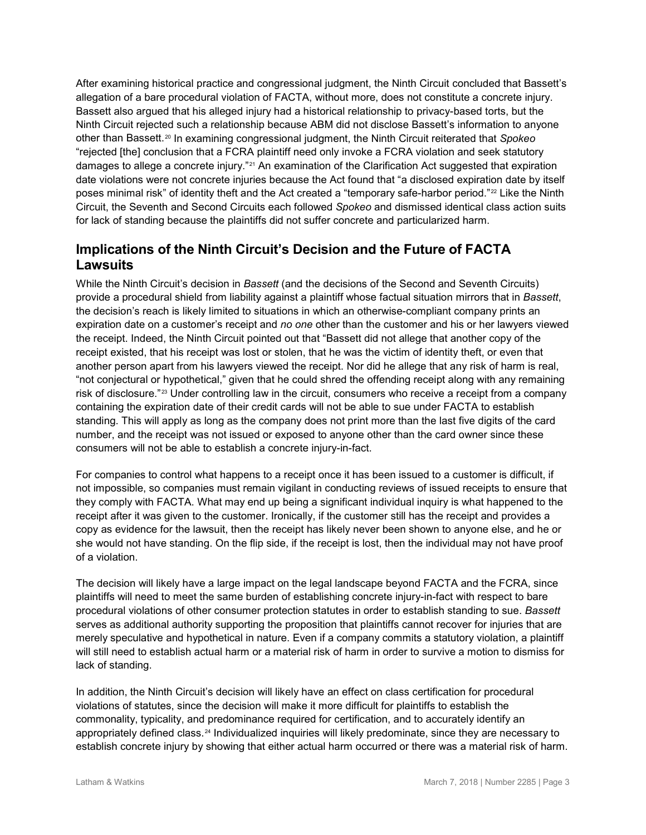After examining historical practice and congressional judgment, the Ninth Circuit concluded that Bassett's allegation of a bare procedural violation of FACTA, without more, does not constitute a concrete injury. Bassett also argued that his alleged injury had a historical relationship to privacy-based torts, but the Ninth Circuit rejected such a relationship because ABM did not disclose Bassett's information to anyone other than Bassett.[20](#page-4-19) In examining congressional judgment, the Ninth Circuit reiterated that *Spokeo* "rejected [the] conclusion that a FCRA plaintiff need only invoke a FCRA violation and seek statutory damages to allege a concrete injury."<sup>[21](#page-4-20)</sup> An examination of the Clarification Act suggested that expiration date violations were not concrete injuries because the Act found that "a disclosed expiration date by itself poses minimal risk" of identity theft and the Act created a "temporary safe-harbor period."[22](#page-4-21) Like the Ninth Circuit, the Seventh and Second Circuits each followed *Spokeo* and dismissed identical class action suits for lack of standing because the plaintiffs did not suffer concrete and particularized harm.

## **Implications of the Ninth Circuit's Decision and the Future of FACTA Lawsuits**

While the Ninth Circuit's decision in *Bassett* (and the decisions of the Second and Seventh Circuits) provide a procedural shield from liability against a plaintiff whose factual situation mirrors that in *Bassett*, the decision's reach is likely limited to situations in which an otherwise-compliant company prints an expiration date on a customer's receipt and *no one* other than the customer and his or her lawyers viewed the receipt. Indeed, the Ninth Circuit pointed out that "Bassett did not allege that another copy of the receipt existed, that his receipt was lost or stolen, that he was the victim of identity theft, or even that another person apart from his lawyers viewed the receipt. Nor did he allege that any risk of harm is real, "not conjectural or hypothetical," given that he could shred the offending receipt along with any remaining risk of disclosure."[23](#page-4-22) Under controlling law in the circuit, consumers who receive a receipt from a company containing the expiration date of their credit cards will not be able to sue under FACTA to establish standing. This will apply as long as the company does not print more than the last five digits of the card number, and the receipt was not issued or exposed to anyone other than the card owner since these consumers will not be able to establish a concrete injury-in-fact.

For companies to control what happens to a receipt once it has been issued to a customer is difficult, if not impossible, so companies must remain vigilant in conducting reviews of issued receipts to ensure that they comply with FACTA. What may end up being a significant individual inquiry is what happened to the receipt after it was given to the customer. Ironically, if the customer still has the receipt and provides a copy as evidence for the lawsuit, then the receipt has likely never been shown to anyone else, and he or she would not have standing. On the flip side, if the receipt is lost, then the individual may not have proof of a violation.

The decision will likely have a large impact on the legal landscape beyond FACTA and the FCRA, since plaintiffs will need to meet the same burden of establishing concrete injury-in-fact with respect to bare procedural violations of other consumer protection statutes in order to establish standing to sue. *Bassett* serves as additional authority supporting the proposition that plaintiffs cannot recover for injuries that are merely speculative and hypothetical in nature. Even if a company commits a statutory violation, a plaintiff will still need to establish actual harm or a material risk of harm in order to survive a motion to dismiss for lack of standing.

In addition, the Ninth Circuit's decision will likely have an effect on class certification for procedural violations of statutes, since the decision will make it more difficult for plaintiffs to establish the commonality, typicality, and predominance required for certification, and to accurately identify an appropriately defined class.<sup>[24](#page-4-23)</sup> Individualized inquiries will likely predominate, since they are necessary to establish concrete injury by showing that either actual harm occurred or there was a material risk of harm.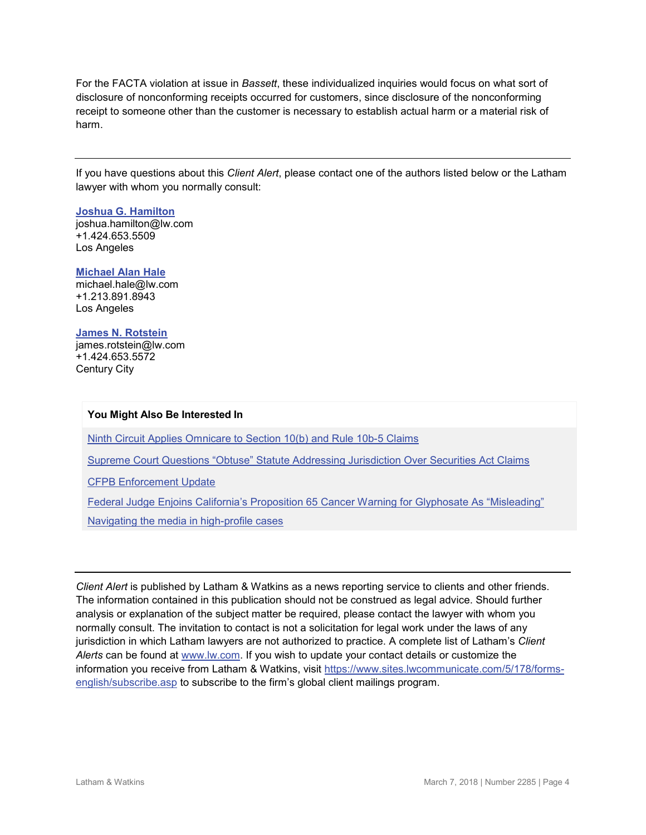For the FACTA violation at issue in *Bassett*, these individualized inquiries would focus on what sort of disclosure of nonconforming receipts occurred for customers, since disclosure of the nonconforming receipt to someone other than the customer is necessary to establish actual harm or a material risk of harm.

If you have questions about this *Client Alert*, please contact one of the authors listed below or the Latham lawyer with whom you normally consult:

#### **[Joshua G. Hamilton](https://www.lw.com/people/joshua-hamilton)**

[joshua.hamilton@lw.com](mailto:joshua.hamilton@lw.com) +1.424.653.5509 Los Angeles

#### **[Michael Alan Hale](https://www.lw.com/people/michael-hale)** [michael.hale@lw.com](mailto:michael.hale@lw.com)

+1.213.891.8943 Los Angeles

#### **[James N. Rotstein](https://www.lw.com/people/james-rotstein)**

[james.rotstein@lw.com](mailto:james.rotstein@lw.com) +1.424.653.5572 Century City

#### **You Might Also Be Interested In**

[Ninth Circuit Applies Omnicare to Section 10\(b\) and Rule 10b-5 Claims](https://www.lw.com/thoughtLeadership/ninth-circuit-applies-omnicare-section-10b-rule-10b5-claims)

[Supreme Court Questions "Obtuse" Statute Addressing Jurisdiction Over Securities Act Claims](https://www.lw.com/thoughtLeadership/lw-supreme-court-questions-obtuse-statute-addressing-jurisdiction-over-securities-act-claims)

[CFPB Enforcement Update](https://www.lw.com/thoughtLeadership/lw-CFPB-Enforcement-Update)

[Federal Judge Enjoins California's Proposition 65 Cancer Warning for Glyphosate As "Misleading"](https://www.globalelr.com/2018/03/federal-judge-enjoins-californias-proposition-65-cancer-warning-for-glyphosate-as-misleading/)

[Navigating the media in high-profile cases](https://www.lw.com/thoughtLeadership/navigating-media-in-high-profile-cases-Joshua-Hamilton)

*Client Alert* is published by Latham & Watkins as a news reporting service to clients and other friends. The information contained in this publication should not be construed as legal advice. Should further analysis or explanation of the subject matter be required, please contact the lawyer with whom you normally consult. The invitation to contact is not a solicitation for legal work under the laws of any jurisdiction in which Latham lawyers are not authorized to practice. A complete list of Latham's *Client Alerts* can be found at [www.lw.com.](http://www.lw.com/) If you wish to update your contact details or customize the information you receive from Latham & Watkins, visit [https://www.sites.lwcommunicate.com/5/178/forms](https://www.sites.lwcommunicate.com/5/178/forms-english/subscribe.asp)[english/subscribe.asp](https://www.sites.lwcommunicate.com/5/178/forms-english/subscribe.asp) to subscribe to the firm's global client mailings program.